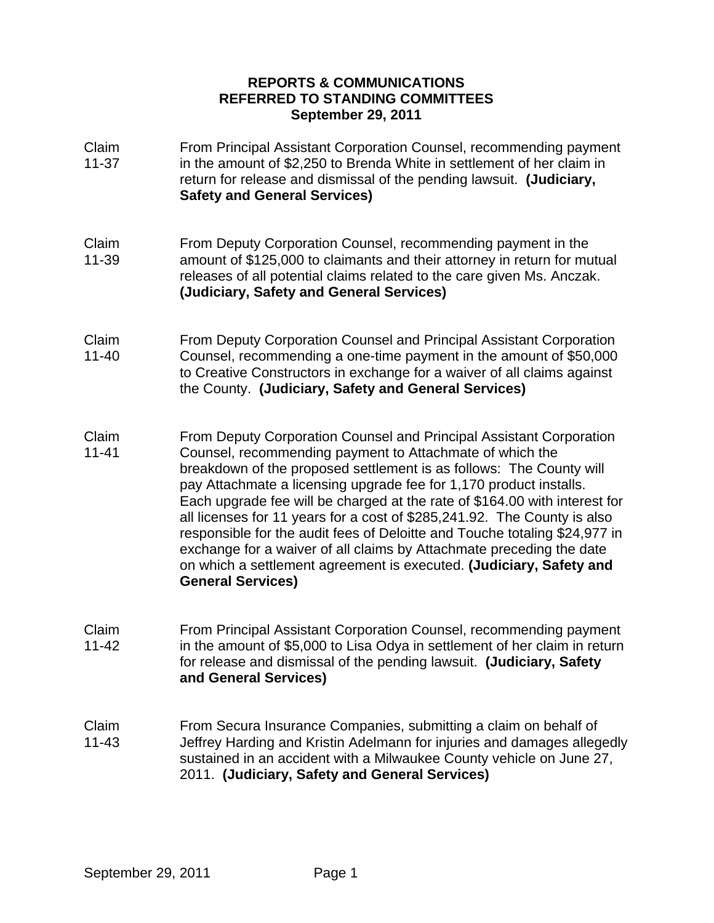## **REPORTS & COMMUNICATIONS REFERRED TO STANDING COMMITTEES September 29, 2011**

- Claim 11-37 From Principal Assistant Corporation Counsel, recommending payment in the amount of \$2,250 to Brenda White in settlement of her claim in return for release and dismissal of the pending lawsuit. **(Judiciary, Safety and General Services)**
- Claim 11-39 From Deputy Corporation Counsel, recommending payment in the amount of \$125,000 to claimants and their attorney in return for mutual releases of all potential claims related to the care given Ms. Anczak. **(Judiciary, Safety and General Services)**
- Claim 11-40 From Deputy Corporation Counsel and Principal Assistant Corporation Counsel, recommending a one-time payment in the amount of \$50,000 to Creative Constructors in exchange for a waiver of all claims against the County. **(Judiciary, Safety and General Services)**
- Claim 11-41 From Deputy Corporation Counsel and Principal Assistant Corporation Counsel, recommending payment to Attachmate of which the breakdown of the proposed settlement is as follows: The County will pay Attachmate a licensing upgrade fee for 1,170 product installs. Each upgrade fee will be charged at the rate of \$164.00 with interest for all licenses for 11 years for a cost of \$285,241.92. The County is also responsible for the audit fees of Deloitte and Touche totaling \$24,977 in exchange for a waiver of all claims by Attachmate preceding the date on which a settlement agreement is executed. **(Judiciary, Safety and General Services)**
- Claim 11-42 From Principal Assistant Corporation Counsel, recommending payment in the amount of \$5,000 to Lisa Odya in settlement of her claim in return for release and dismissal of the pending lawsuit. **(Judiciary, Safety and General Services)**
- Claim 11-43 From Secura Insurance Companies, submitting a claim on behalf of Jeffrey Harding and Kristin Adelmann for injuries and damages allegedly sustained in an accident with a Milwaukee County vehicle on June 27, 2011. **(Judiciary, Safety and General Services)**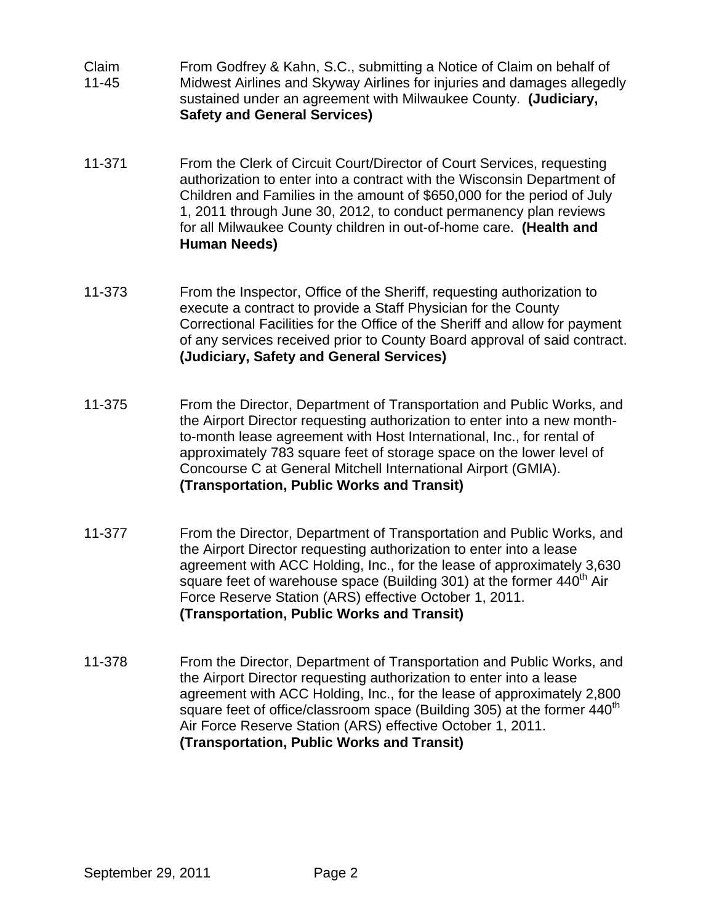- Claim 11-45 From Godfrey & Kahn, S.C., submitting a Notice of Claim on behalf of Midwest Airlines and Skyway Airlines for injuries and damages allegedly sustained under an agreement with Milwaukee County. **(Judiciary, Safety and General Services)**
- 11-371 From the Clerk of Circuit Court/Director of Court Services, requesting authorization to enter into a contract with the Wisconsin Department of Children and Families in the amount of \$650,000 for the period of July 1, 2011 through June 30, 2012, to conduct permanency plan reviews for all Milwaukee County children in out-of-home care. **(Health and Human Needs)**
- 11-373 From the Inspector, Office of the Sheriff, requesting authorization to execute a contract to provide a Staff Physician for the County Correctional Facilities for the Office of the Sheriff and allow for payment of any services received prior to County Board approval of said contract. **(Judiciary, Safety and General Services)**
- 11-375 From the Director, Department of Transportation and Public Works, and the Airport Director requesting authorization to enter into a new monthto-month lease agreement with Host International, Inc., for rental of approximately 783 square feet of storage space on the lower level of Concourse C at General Mitchell International Airport (GMIA). **(Transportation, Public Works and Transit)**
- 11-377 From the Director, Department of Transportation and Public Works, and the Airport Director requesting authorization to enter into a lease agreement with ACC Holding, Inc., for the lease of approximately 3,630 square feet of warehouse space (Building 301) at the former  $440<sup>th</sup>$  Air Force Reserve Station (ARS) effective October 1, 2011. **(Transportation, Public Works and Transit)**
- 11-378 From the Director, Department of Transportation and Public Works, and the Airport Director requesting authorization to enter into a lease agreement with ACC Holding, Inc., for the lease of approximately 2,800 square feet of office/classroom space (Building 305) at the former  $440<sup>th</sup>$ Air Force Reserve Station (ARS) effective October 1, 2011. **(Transportation, Public Works and Transit)**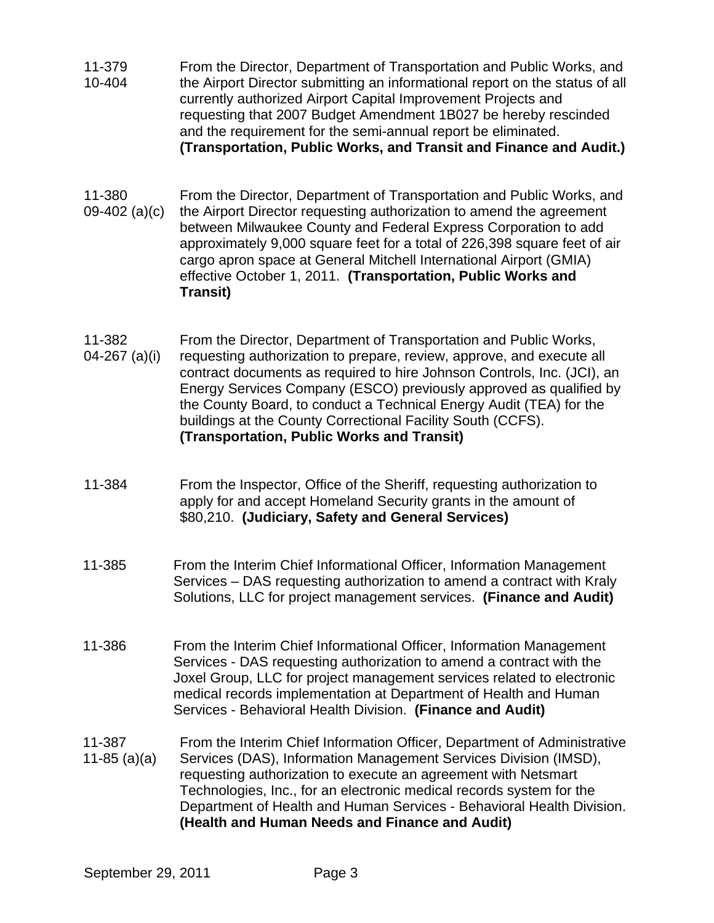- 11-379 10-404 From the Director, Department of Transportation and Public Works, and the Airport Director submitting an informational report on the status of all currently authorized Airport Capital Improvement Projects and requesting that 2007 Budget Amendment 1B027 be hereby rescinded and the requirement for the semi-annual report be eliminated. **(Transportation, Public Works, and Transit and Finance and Audit.)**
- 11-380 09-402 (a)(c) From the Director, Department of Transportation and Public Works, and the Airport Director requesting authorization to amend the agreement between Milwaukee County and Federal Express Corporation to add approximately 9,000 square feet for a total of 226,398 square feet of air cargo apron space at General Mitchell International Airport (GMIA) effective October 1, 2011. **(Transportation, Public Works and Transit)**
- 11-382 04-267 (a)(i) From the Director, Department of Transportation and Public Works, requesting authorization to prepare, review, approve, and execute all contract documents as required to hire Johnson Controls, Inc. (JCI), an Energy Services Company (ESCO) previously approved as qualified by the County Board, to conduct a Technical Energy Audit (TEA) for the buildings at the County Correctional Facility South (CCFS). **(Transportation, Public Works and Transit)**
- 11-384 From the Inspector, Office of the Sheriff, requesting authorization to apply for and accept Homeland Security grants in the amount of \$80,210. **(Judiciary, Safety and General Services)**
- 11-385 From the Interim Chief Informational Officer, Information Management Services – DAS requesting authorization to amend a contract with Kraly Solutions, LLC for project management services. **(Finance and Audit)**
- 11-386 From the Interim Chief Informational Officer, Information Management Services - DAS requesting authorization to amend a contract with the Joxel Group, LLC for project management services related to electronic medical records implementation at Department of Health and Human Services - Behavioral Health Division. **(Finance and Audit)**
- 11-387 11-85 (a)(a) From the Interim Chief Information Officer, Department of Administrative Services (DAS), Information Management Services Division (IMSD), requesting authorization to execute an agreement with Netsmart Technologies, Inc., for an electronic medical records system for the Department of Health and Human Services - Behavioral Health Division. **(Health and Human Needs and Finance and Audit)**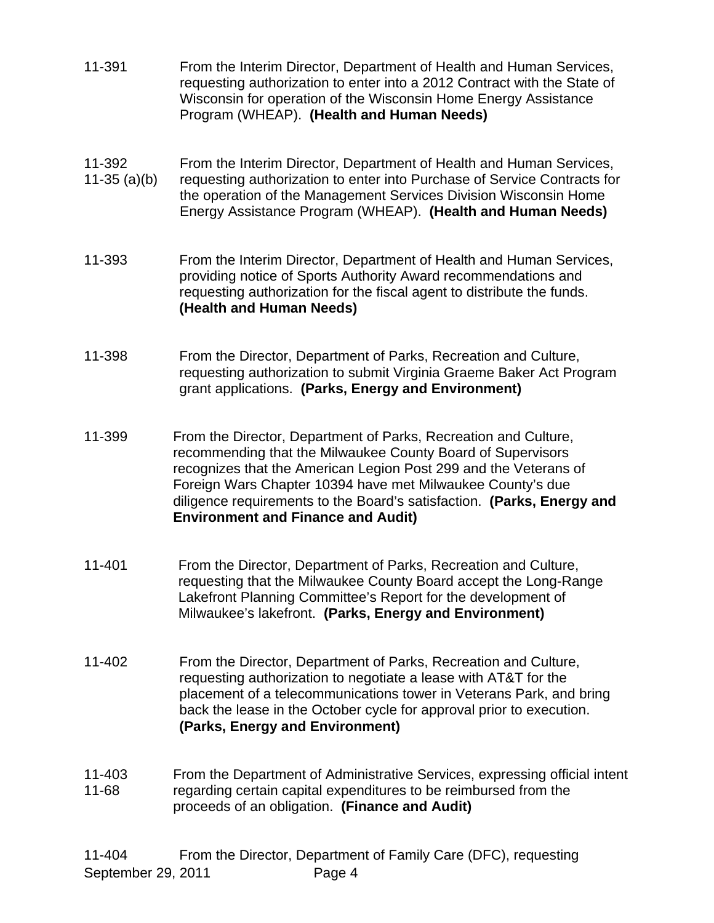- 11-391 From the Interim Director, Department of Health and Human Services, requesting authorization to enter into a 2012 Contract with the State of Wisconsin for operation of the Wisconsin Home Energy Assistance Program (WHEAP). **(Health and Human Needs)**
- 11-392 11-35 (a)(b) From the Interim Director, Department of Health and Human Services, requesting authorization to enter into Purchase of Service Contracts for the operation of the Management Services Division Wisconsin Home Energy Assistance Program (WHEAP). **(Health and Human Needs)**
- 11-393 From the Interim Director, Department of Health and Human Services, providing notice of Sports Authority Award recommendations and requesting authorization for the fiscal agent to distribute the funds. **(Health and Human Needs)**
- 11-398 From the Director, Department of Parks, Recreation and Culture, requesting authorization to submit Virginia Graeme Baker Act Program grant applications. **(Parks, Energy and Environment)**
- 11-399 From the Director, Department of Parks, Recreation and Culture, recommending that the Milwaukee County Board of Supervisors recognizes that the American Legion Post 299 and the Veterans of Foreign Wars Chapter 10394 have met Milwaukee County's due diligence requirements to the Board's satisfaction. **(Parks, Energy and Environment and Finance and Audit)**
- 11-401 From the Director, Department of Parks, Recreation and Culture, requesting that the Milwaukee County Board accept the Long-Range Lakefront Planning Committee's Report for the development of Milwaukee's lakefront. **(Parks, Energy and Environment)**
- 11-402 From the Director, Department of Parks, Recreation and Culture, requesting authorization to negotiate a lease with AT&T for the placement of a telecommunications tower in Veterans Park, and bring back the lease in the October cycle for approval prior to execution. **(Parks, Energy and Environment)**
- 11-403 11-68 From the Department of Administrative Services, expressing official intent regarding certain capital expenditures to be reimbursed from the proceeds of an obligation. **(Finance and Audit)**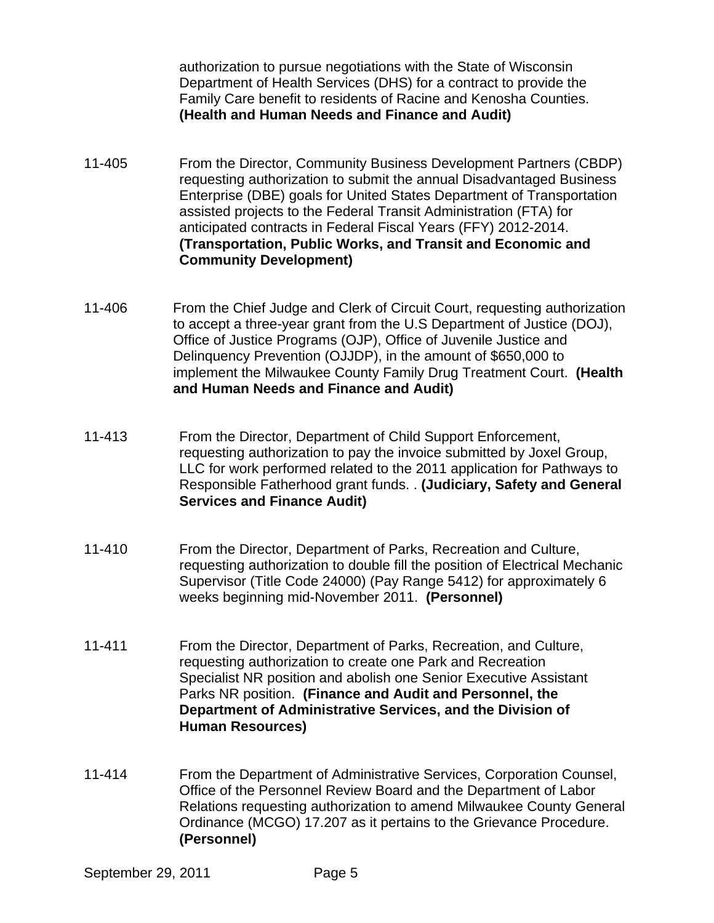authorization to pursue negotiations with the State of Wisconsin Department of Health Services (DHS) for a contract to provide the Family Care benefit to residents of Racine and Kenosha Counties. **(Health and Human Needs and Finance and Audit)** 

- 11-405 From the Director, Community Business Development Partners (CBDP) requesting authorization to submit the annual Disadvantaged Business Enterprise (DBE) goals for United States Department of Transportation assisted projects to the Federal Transit Administration (FTA) for anticipated contracts in Federal Fiscal Years (FFY) 2012-2014. **(Transportation, Public Works, and Transit and Economic and Community Development)**
- 11-406 From the Chief Judge and Clerk of Circuit Court, requesting authorization to accept a three-year grant from the U.S Department of Justice (DOJ), Office of Justice Programs (OJP), Office of Juvenile Justice and Delinquency Prevention (OJJDP), in the amount of \$650,000 to implement the Milwaukee County Family Drug Treatment Court. **(Health and Human Needs and Finance and Audit)**
- 11-413 From the Director, Department of Child Support Enforcement, requesting authorization to pay the invoice submitted by Joxel Group, LLC for work performed related to the 2011 application for Pathways to Responsible Fatherhood grant funds. . **(Judiciary, Safety and General Services and Finance Audit)**
- 11-410 From the Director, Department of Parks, Recreation and Culture, requesting authorization to double fill the position of Electrical Mechanic Supervisor (Title Code 24000) (Pay Range 5412) for approximately 6 weeks beginning mid-November 2011. **(Personnel)**
- 11-411 From the Director, Department of Parks, Recreation, and Culture, requesting authorization to create one Park and Recreation Specialist NR position and abolish one Senior Executive Assistant Parks NR position. **(Finance and Audit and Personnel, the Department of Administrative Services, and the Division of Human Resources)**
- 11-414 From the Department of Administrative Services, Corporation Counsel, Office of the Personnel Review Board and the Department of Labor Relations requesting authorization to amend Milwaukee County General Ordinance (MCGO) 17.207 as it pertains to the Grievance Procedure. **(Personnel)**